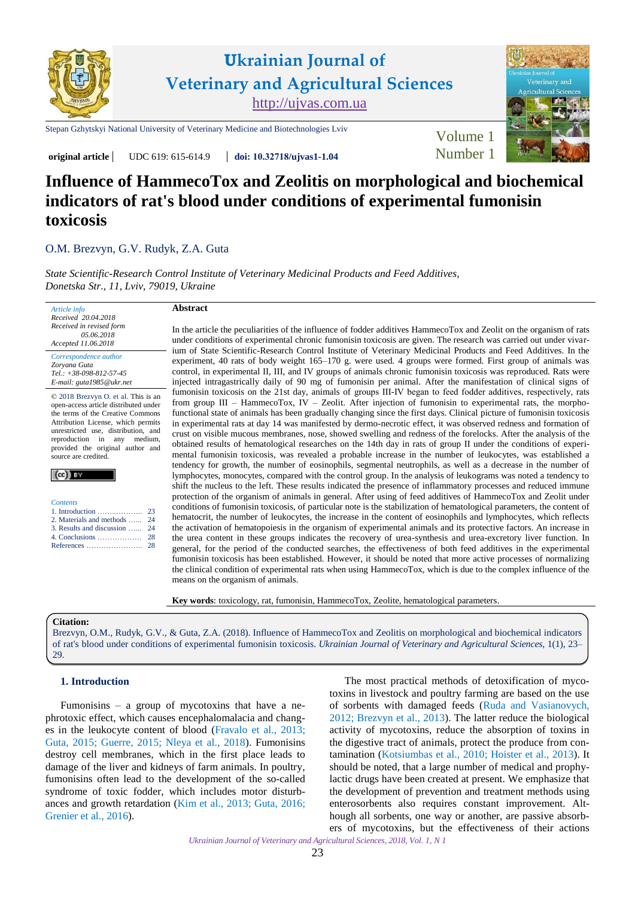



[Stepan Gzhytskyi National University of Veterinary Medicine and Biotechnologies Lviv](https://lvet.edu.ua) [Volume 1](https://ujvas.com.ua/index.php/journal/issue/view/1)

**original article** UDC 619: 615-614.9 **doi: 10.32718[/ujvas1-1.04](https://doi.org/10.32718/ujvas1-1.04)** Number 1

# **Influence of HammecoTox and Zeolitis on morphological and biochemical indicators of rat's blood under conditions of experimental fumonisin toxicosis**

# [O.M. Brezvyn,](https://orcid.org/0000-0002-7401-3117) [G.V. Rudyk,](https://orcid.org/0000-0001-6704-0195) [Z.A. Guta](https://orcid.org/0000-0002-5652-6939)

*[State Scientific-Research Control Institute of Veterinary Medicinal Products and Feed Additives,](http://www.scivp.lviv.ua)  Donetska Str., 11, Lviv, 79019, Ukraine*

| Article info             |
|--------------------------|
| Received 20.04.2018      |
| Received in revised form |
| 05.06.2018               |
| Accepted 11.06.2018      |

*Correspondence author [Zoryana Guta](https://scholar.google.com.ua/citations?user=ABcgLxAAAAAJ&hl=ru) Tel.: +38-098-812-57-45 E-mail: guta1985@ukr.net*

© 2018 Brezvyn O. et al. This is an open-access article distributed under the terms of the Creative Commons Attribution License, which permits unrestricted use, distribution, and reproduction in any medium, provided the original author and source are credited.

|--|

| <b>Contents</b>               |  |
|-------------------------------|--|
|                               |  |
| 2. Materials and methods  24  |  |
| 3. Results and discussion  24 |  |
|                               |  |
|                               |  |

# **Abstract**

In the article the peculiarities of the influence of fodder additives HammecoTox and Zeolit on the organism of rats under conditions of experimental chronic fumonisin toxicosis are given. The research was carried out under vivarium of State Scientific-Research Control Institute of Veterinary Medicinal Products and Feed Additives. In the experiment, 40 rats of body weight 165–170 g. were used. 4 groups were formed. First group of animals was control, in experimental II, III, and IV groups of animals chronic fumonisin toxicosis was reproduced. Rats were injected intragastrically daily of 90 mg of fumonisin per animal. After the manifestation of clinical signs of fumonisin toxicosis on the 21st day, animals of groups ІІІ-ІV began to feed fodder additives, respectively, rats from group III – HammecoTox, IV – Zeolit. After injection of fumonisin to experimental rats, the morphofunctional state of animals has been gradually changing since the first days. Clinical picture of fumonisin toxicosis in experimental rats at day 14 was manifested by dermo-necrotic effect, it was observed redness and formation of crust on visible mucous membranes, nose, showed swelling and redness of the forelocks. After the analysis of the obtained results of hematological researches on the 14th day in rats of group II under the conditions of experimental fumonisin toxicosis, was revealed a probable increase in the number of leukocytes, was established a tendency for growth, the number of eosinophils, segmental neutrophils, as well as a decrease in the number of lymphocytes, monocytes, compared with the control group. In the analysis of leukograms was noted a tendency to shift the nucleus to the left. These results indicated the presence of inflammatory processes and reduced immune protection of the organism of animals in general. After using of feed additives of HammecoTox and Zeolit under conditions of fumonisin toxicosis, of particular note is the stabilization of hematological parameters, the content of hematocrit, the number of leukocytes, the increase in the content of eosinophils and lymphocytes, which reflects the activation of hematopoiesis in the organism of experimental animals and its protective factors. An increase in the urea content in these groups indicates the recovery of urea-synthesis and urea-excretory liver function. In general, for the period of the conducted searches, the effectiveness of both feed additives in the experimental fumonisin toxicosis has been established. However, it should be noted that more active processes of normalizing the clinical condition of experimental rats when using HammecoTox, which is due to the complex influence of the means on the organism of animals.

**Key words**: toxicology, rat, fumonisin, HammecoTox, Zeolite, hematological parameters.

#### **Citation:**

Brezvyn, O.M., Rudyk, G.V., & Guta, Z.A. (2018). Influence of HammecoTox and Zeolitis on morphological and biochemical indicators of rat's blood under conditions of experimental fumonisin toxicosis. *Ukrainian Journal of Veterinary and Agricultural Sciences*, 1(1), 23– 29.

### **1. Introduction**

Fumonisins – a group of mycotoxins that have a nephrotoxic effect, which causes encephalomalacia and changes in the leukocyte content of blood ([Fravalo](#page-5-0) et al., 2013; [Guta, 2015](#page-5-0); [Guerre,](#page-5-0) 2015; Nleya [et al., 2018](#page-6-0)). Fumonisins destroy cell membranes, which in the first place leads to damage of the liver and kidneys of farm animals. In poultry, fumonisins often lead to the development of the so-called syndrome of toxic fodder, which includes motor disturbances and growth retardation (Kim [et al.,](#page-6-0) 2013; [Guta, 2016;](#page-5-0) [Grenier](#page-5-0) et al., 2016).

The most practical methods of detoxification of mycotoxins in livestock and poultry farming are based on the use of sorbents with damaged feeds (Ruda and [Vasianovych](#page-6-0), [2012](#page-6-0); Brezvyn [et al., 2013](#page-5-0)). The latter reduce the biological activity of mycotoxins, reduce the absorption of toxins in the digestive tract of animals, protect the produce from contamination ([Kotsiumbas](#page-6-0) et al., 2010; [Hoister](#page-6-0) et al., 2013). It should be noted, that a large number of medical and prophylactic drugs have been created at present. We emphasize that the development of prevention and treatment methods using enterosorbents also requires constant improvement. Although all sorbents, one way or another, are passive absorbers of mycotoxins, but the effectiveness of their actions

*Ukrainian Journal of Veterinary and Agricultural Sciences, 2018, Vol. 1, N 1* 

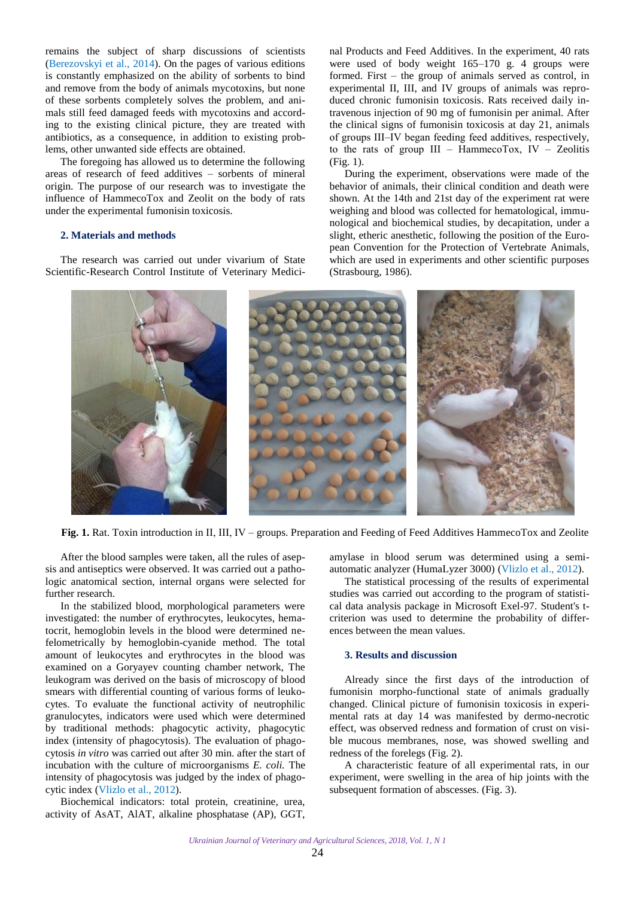<span id="page-1-0"></span>remains the subject of sharp discussions of scientists ([Berezovskyi](#page-5-0) et al., 2014). On the pages of various editions is constantly emphasized on the ability of sorbents to bind and remove from the body of animals mycotoxins, but none of these sorbents completely solves the problem, and animals still feed damaged feeds with mycotoxins and according to the existing clinical picture, they are treated with antibiotics, as a consequence, in addition to existing problems, other unwanted side effects are obtained.

The foregoing has allowed us to determine the following areas of research of feed additives – sorbents of mineral origin. The purpose of our research was to investigate the influence of HammecoTox and Zeolit on the body of rats under the experimental fumonisin toxicosis.

# **2. Materials and methods**

The research was carried out under vivarium of State Scientific-Research Control Institute of Veterinary Medicinal Products and Feed Additives. In the experiment, 40 rats were used of body weight 165–170 g. 4 groups were formed. First – the group of animals served as control, in experimental II, III, and IV groups of animals was reproduced chronic fumonisin toxicosis. Rats received daily intravenous injection of 90 mg of fumonisin per animal. After the clinical signs of fumonisin toxicosis at day 21, animals of groups ІІІ–ІV began feeding feed additives, respectively, to the rats of group  $III$  – HammecoTox, IV – Zeolitis (Fig. 1).

During the experiment, observations were made of the behavior of animals, their clinical condition and death were shown. At the 14th and 21st day of the experiment rat were weighing and blood was collected for hematological, immunological and biochemical studies, by decapitation, under a slight, etheric anesthetic, following the position of the European Convention for the Protection of Vertebrate Animals, which are used in experiments and other scientific purposes (Strasbourg, 1986).



**Fig. 1.** Rat. Toxin introduction in ІІ, ІІІ, ІV – groups. Preparation and Feeding of Feed Additives HammecoTox and Zeolite

After the blood samples were taken, all the rules of asepsis and antiseptics were observed. It was carried out a pathologic anatomical section, internal organs were selected for further research.

In the stabilized blood, morphological parameters were investigated: the number of erythrocytes, leukocytes, hematocrit, hemoglobin levels in the blood were determined nefelometrically by hemoglobin-cyanide method. The total amount of leukocytes and erythrocytes in the blood was examined on a Goryayev counting chamber network, The leukogram was derived on the basis of microscopy of blood smears with differential counting of various forms of leukocytes. To evaluate the functional activity of neutrophilic granulocytes, indicators were used which were determined by traditional methods: phagocytic activity, phagocytic index (intensity of phagocytosis). The evaluation of phagocytosis *in vitro* was carried out after 30 min. after the start of incubation with the culture of microorganisms *E. coli.* The intensity of phagocytosis was judged by the index of phagocytic index (Vlizlo [et al., 2012\)](#page-6-0).

Biochemical indicators: total protein, creatinine, urea, activity of AsAT, AlAT, alkaline phosphatase (AP), GGT, amylase in blood serum was determined using a semiautomatic analyzer (HumaLyzer 3000) (Vlizlo [et al., 2012](#page-6-0)).

The statistical processing of the results of experimental studies was carried out according to the program of statistical data analysis package in Microsoft Exel-97. Student's tcriterion was used to determine the probability of differences between the mean values.

#### **3. Results and discussion**

Already since the first days of the introduction of fumonisin morpho-functional state of animals gradually changed. Clinical picture of fumonisin toxicosis in experimental rats at day 14 was manifested by dermo-necrotic effect, was observed redness and formation of crust on visible mucous membranes, nose, was showed swelling and redness of the forelegs (Fig. 2).

A characteristic feature of all experimental rats, in our experiment, were swelling in the area of hip joints with the subsequent formation of abscesses. (Fig. 3).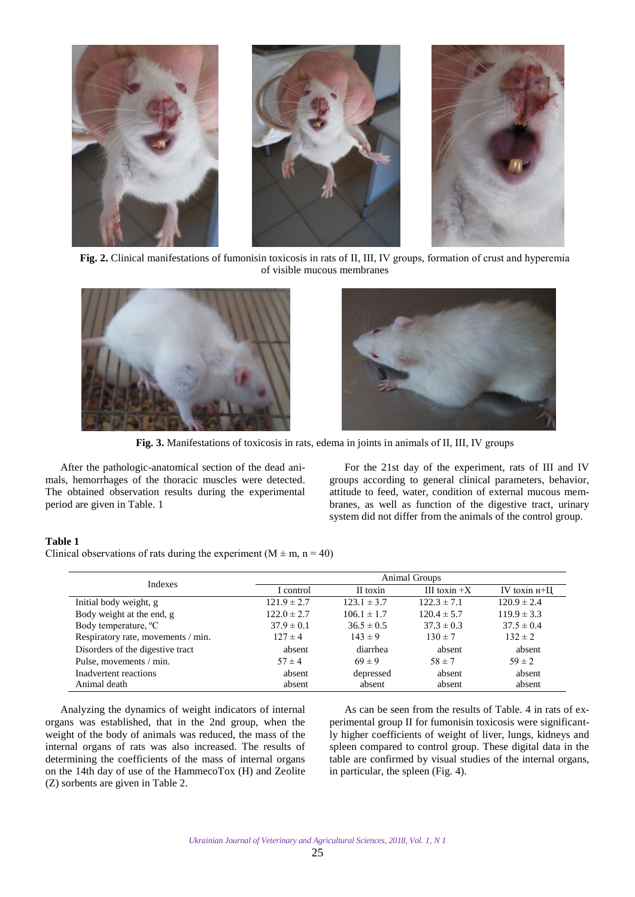

**Fig. 2.** Clinical manifestations of fumonisin toxicosis in rats of ІІ, ІІІ, ІV groups, formation of crust and hyperemia of visible mucous membranes





**Fig. 3.** Manifestations of toxicosis in rats, edema in joints in animals of ІІ, ІІІ, ІV groups

After the pathologic-anatomical section of the dead animals, hemorrhages of the thoracic muscles were detected. The obtained observation results during the experimental period are given in Table. 1

For the 21st day of the experiment, rats of III and IV groups according to general clinical parameters, behavior, attitude to feed, water, condition of external mucous membranes, as well as function of the digestive tract, urinary system did not differ from the animals of the control group.

# **Table 1**

Clinical observations of rats during the experiment  $(M \pm m, n = 40)$ 

| Indexes                            | Animal Groups   |                 |                 |                   |  |
|------------------------------------|-----------------|-----------------|-----------------|-------------------|--|
|                                    | I control       | II toxin        | III toxin $+X$  | IV toxin $H^+$ II |  |
| Initial body weight, g             | $121.9 \pm 2.7$ | $123.1 \pm 3.7$ | $122.3 \pm 7.1$ | $120.9 \pm 2.4$   |  |
| Body weight at the end, g          | $122.0 \pm 2.7$ | $106.1 \pm 1.7$ | $120.4 \pm 5.7$ | $119.9 \pm 3.3$   |  |
| Body temperature, <sup>o</sup> C   | $37.9 \pm 0.1$  | $36.5 \pm 0.5$  | $37.3 \pm 0.3$  | $37.5 \pm 0.4$    |  |
| Respiratory rate, movements / min. | $127 \pm 4$     | $143 \pm 9$     | $130 \pm 7$     | $132 \pm 2$       |  |
| Disorders of the digestive tract   | absent          | diarrhea        | absent          | absent            |  |
| Pulse, movements / min.            | $57 \pm 4$      | $69 \pm 9$      | $58 \pm 7$      | $59 \pm 2$        |  |
| Inadvertent reactions              | absent          | depressed       | absent          | absent            |  |
| Animal death                       | absent          | absent          | absent          | absent            |  |

Analyzing the dynamics of weight indicators of internal organs was established, that in the 2nd group, when the weight of the body of animals was reduced, the mass of the internal organs of rats was also increased. The results of determining the coefficients of the mass of internal organs on the 14th day of use of the HammecoTox (H) and Zeolite (Z) sorbents are given in Table 2.

As can be seen from the results of Table. 4 in rats of experimental group II for fumonisin toxicosis were significantly higher coefficients of weight of liver, lungs, kidneys and spleen compared to control group. These digital data in the table are confirmed by visual studies of the internal organs, in particular, the spleen (Fig. 4).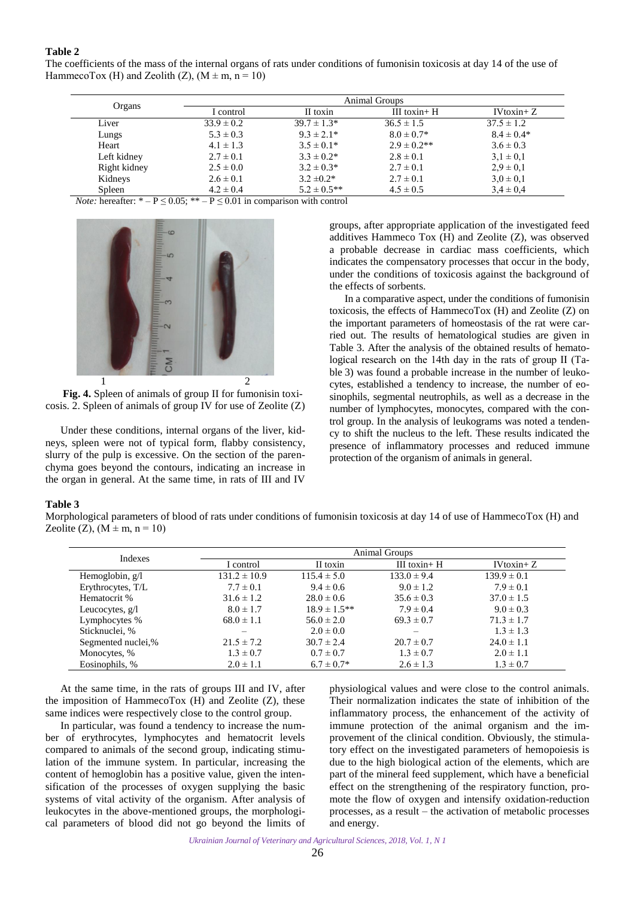# **Table 2**

The coefficients of the mass of the internal organs of rats under conditions of fumonisin toxicosis at day 14 of the use of HammecoTox (H) and Zeolith (Z),  $(M \pm m, n = 10)$ 

|              | Animal Groups  |                  |                  |                 |  |
|--------------|----------------|------------------|------------------|-----------------|--|
| Organs       | I control      | II toxin         | III toxin+ $H$   | $IV$ toxin+ $Z$ |  |
| Liver        | $33.9 \pm 0.2$ | $39.7 \pm 1.3*$  | $36.5 \pm 1.5$   | $37.5 \pm 1.2$  |  |
| Lungs        | $5.3 \pm 0.3$  | $9.3 \pm 2.1*$   | $8.0 \pm 0.7*$   | $8.4 \pm 0.4*$  |  |
| Heart        | $4.1 \pm 1.3$  | $3.5 \pm 0.1*$   | $2.9 \pm 0.2$ ** | $3.6 \pm 0.3$   |  |
| Left kidney  | $2.7 \pm 0.1$  | $3.3 \pm 0.2^*$  | $2.8 \pm 0.1$    | $3.1 \pm 0.1$   |  |
| Right kidney | $2.5 \pm 0.0$  | $3.2 \pm 0.3*$   | $2.7 \pm 0.1$    | $2.9 \pm 0.1$   |  |
| Kidneys      | $2.6 \pm 0.1$  | $3.2 \pm 0.2^*$  | $2.7 \pm 0.1$    | $3.0 \pm 0.1$   |  |
| Spleen       | $4.2 \pm 0.4$  | $5.2 \pm 0.5$ ** | $4.5 \pm 0.5$    | $3.4 \pm 0.4$   |  |

*Note:* hereafter:  $* - P \le 0.05$ ;  $** - P \le 0.01$  in comparison with control



**Fig. 4.** Spleen of animals of group II for fumonisin toxicosis. 2. Spleen of animals of group IV for use of Zeolite (Z)

Under these conditions, internal organs of the liver, kidneys, spleen were not of typical form, flabby consistency, slurry of the pulp is excessive. On the section of the parenchyma goes beyond the contours, indicating an increase in the organ in general. At the same time, in rats of III and IV

groups, after appropriate application of the investigated feed additives Hammeco Tox (H) and Zeolite (Z), was observed a probable decrease in cardiac mass coefficients, which indicates the compensatory processes that occur in the body, under the conditions of toxicosis against the background of the effects of sorbents.

In a comparative aspect, under the conditions of fumonisin toxicosis, the effects of HammecoTox (H) and Zeolite (Z) on the important parameters of homeostasis of the rat were carried out. The results of hematological studies are given in Table 3. After the analysis of the obtained results of hematological research on the 14th day in the rats of group ІІ (Table 3) was found a probable increase in the number of leukocytes, established a tendency to increase, the number of eosinophils, segmental neutrophils, as well as a decrease in the number of lymphocytes, monocytes, compared with the control group. In the analysis of leukograms was noted a tendency to shift the nucleus to the left. These results indicated the presence of inflammatory processes and reduced immune protection of the organism of animals in general.

#### **Table 3**

Morphological parameters of blood of rats under conditions of fumonisin toxicosis at day 14 of use of HammecoTox (H) and Zeolite (Z),  $(M \pm m, n = 10)$ 

| Indexes            | Animal Groups    |                   |                 |                 |  |
|--------------------|------------------|-------------------|-----------------|-----------------|--|
|                    | I control        | II toxin          | III toxin+ $H$  | $IV$ toxin+ $Z$ |  |
| Hemoglobin, $g/l$  | $131.2 \pm 10.9$ | $115.4 \pm 5.0$   | $133.0 \pm 9.4$ | $139.9 \pm 0.1$ |  |
| Erythrocytes, T/L  | $7.7 \pm 0.1$    | $9.4 \pm 0.6$     | $9.0 \pm 1.2$   | $7.9 \pm 0.1$   |  |
| Hematocrit %       | $31.6 \pm 1.2$   | $28.0 \pm 0.6$    | $35.6 \pm 0.3$  | $37.0 \pm 1.5$  |  |
| Leucocytes, $g/l$  | $8.0 \pm 1.7$    | $18.9 \pm 1.5***$ | $7.9 \pm 0.4$   | $9.0 \pm 0.3$   |  |
| Lymphocytes %      | $68.0 \pm 1.1$   | $56.0 \pm 2.0$    | $69.3 \pm 0.7$  | $71.3 \pm 1.7$  |  |
| Sticknuclei, %     |                  | $2.0 \pm 0.0$     | $\equiv$        | $1.3 \pm 1.3$   |  |
| Segmented nuclei,% | $21.5 \pm 7.2$   | $30.7 \pm 2.4$    | $20.7 \pm 0.7$  | $24.0 \pm 1.1$  |  |
| Monocytes, %       | $1.3 \pm 0.7$    | $0.7 \pm 0.7$     | $1.3 \pm 0.7$   | $2.0 \pm 1.1$   |  |
| Eosinophils, %     | $2.0 \pm 1.1$    | $6.7 \pm 0.7*$    | $2.6 \pm 1.3$   | $1.3 \pm 0.7$   |  |

At the same time, in the rats of groups III and IV, after the imposition of HammecoTox (H) and Zeolite (Z), these same indices were respectively close to the control group.

In particular, was found a tendency to increase the number of erythrocytes, lymphocytes and hematocrit levels compared to animals of the second group, indicating stimulation of the immune system. In particular, increasing the content of hemoglobin has a positive value, given the intensification of the processes of oxygen supplying the basic systems of vital activity of the organism. After analysis of leukocytes in the above-mentioned groups, the morphological parameters of blood did not go beyond the limits of physiological values and were close to the control animals. Their normalization indicates the state of inhibition of the inflammatory process, the enhancement of the activity of immune protection of the animal organism and the improvement of the clinical condition. Obviously, the stimulatory effect on the investigated parameters of hemopoiesis is due to the high biological action of the elements, which are part of the mineral feed supplement, which have a beneficial effect on the strengthening of the respiratory function, promote the flow of oxygen and intensify oxidation-reduction processes, as a result – the activation of metabolic processes and energy.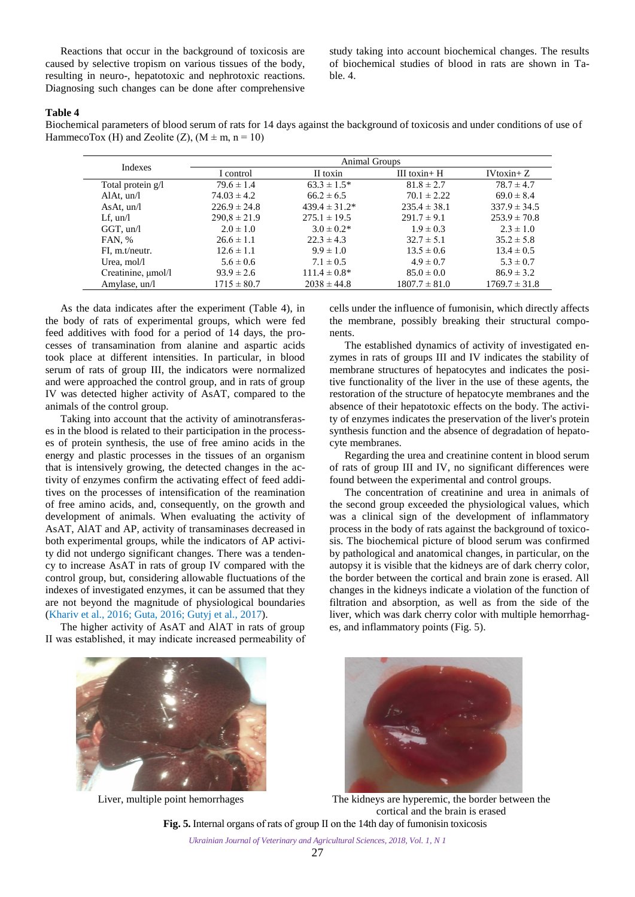Reactions that occur in the background of toxicosis are caused by selective tropism on various tissues of the body, resulting in neuro-, hepatotoxic and nephrotoxic reactions. Diagnosing such changes can be done after comprehensive

study taking into account biochemical changes. The results of biochemical studies of blood in rats are shown in Table. 4.

#### **Table 4**

Biochemical parameters of blood serum of rats for 14 days against the background of toxicosis and under conditions of use of HammecoTox (H) and Zeolite (Z),  $(M \pm m, n = 10)$ 

| Indexes            | <b>Animal Groups</b> |                    |                   |                   |  |
|--------------------|----------------------|--------------------|-------------------|-------------------|--|
|                    | I control            | II toxin           | III toxin+ $H$    | $IV$ toxin+ $Z$   |  |
| Total protein g/l  | $79.6 \pm 1.4$       | $63.3 \pm 1.5^*$   | $81.8 \pm 2.7$    | $78.7 \pm 4.7$    |  |
| AlAt, $un/l$       | $74.03 \pm 4.2$      | $66.2 \pm 6.5$     | $70.1 \pm 2.22$   | $69.0 \pm 8.4$    |  |
| AsAt, $un/l$       | $226.9 \pm 24.8$     | $439.4 \pm 31.2^*$ | $235.4 \pm 38.1$  | $337.9 \pm 34.5$  |  |
| $Lf$ , un/l        | $290.8 \pm 21.9$     | $275.1 \pm 19.5$   | $291.7 \pm 9.1$   | $253.9 \pm 70.8$  |  |
| $GGT$ , un/l       | $2.0 \pm 1.0$        | $3.0 \pm 0.2^*$    | $1.9 \pm 0.3$     | $2.3 \pm 1.0$     |  |
| FAN, %             | $26.6 \pm 1.1$       | $22.3 \pm 4.3$     | $32.7 \pm 5.1$    | $35.2 \pm 5.8$    |  |
| FI, m.t/neutr.     | $12.6 \pm 1.1$       | $9.9 \pm 1.0$      | $13.5 \pm 0.6$    | $13.4 \pm 0.5$    |  |
| Urea, mol/l        | $5.6 \pm 0.6$        | $7.1 \pm 0.5$      | $4.9 \pm 0.7$     | $5.3 \pm 0.7$     |  |
| Creatinine, µmol/l | $93.9 \pm 2.6$       | $111.4 \pm 0.8^*$  | $85.0 \pm 0.0$    | $86.9 \pm 3.2$    |  |
| Amylase, un/l      | $1715 \pm 80.7$      | $2038 \pm 44.8$    | $1807.7 \pm 81.0$ | $1769.7 \pm 31.8$ |  |

As the data indicates after the experiment (Table 4), in the body of rats of experimental groups, which were fed feed additives with food for a period of 14 days, the processes of transamination from alanine and aspartic acids took place at different intensities. In particular, in blood serum of rats of group III, the indicators were normalized and were approached the control group, and in rats of group IV was detected higher activity of AsAT, compared to the animals of the control group.

Taking into account that the activity of aminotransferases in the blood is related to their participation in the processes of protein synthesis, the use of free amino acids in the energy and plastic processes in the tissues of an organism that is intensively growing, the detected changes in the activity of enzymes confirm the activating effect of feed additives on the processes of intensification of the reamination of free amino acids, and, consequently, on the growth and development of animals. When evaluating the activity of AsAT, AlAT and AP, activity of transaminases decreased in both experimental groups, while the indicators of AP activity did not undergo significant changes. There was a tendency to increase AsAT in rats of group IV compared with the control group, but, considering allowable fluctuations of the indexes of investigated enzymes, it can be assumed that they are not beyond the magnitude of physiological boundaries ([Khariv](#page-6-0) et al., 2016; [Guta, 2016](#page-5-0); [Gutyj](#page-5-0) et al., 2017).

The higher activity of AsAT and AlAT in rats of group ІІ was established, it may indicate increased permeability of cells under the influence of fumonisin, which directly affects the membrane, possibly breaking their structural components.

The established dynamics of activity of investigated enzymes in rats of groups III and IV indicates the stability of membrane structures of hepatocytes and indicates the positive functionality of the liver in the use of these agents, the restoration of the structure of hepatocyte membranes and the absence of their hepatotoxic effects on the body. The activity of enzymes indicates the preservation of the liver's protein synthesis function and the absence of degradation of hepatocyte membranes.

Regarding the urea and creatinine content in blood serum of rats of group III and IV, no significant differences were found between the experimental and control groups.

The concentration of creatinine and urea in animals of the second group exceeded the physiological values, which was a clinical sign of the development of inflammatory process in the body of rats against the background of toxicosis. The biochemical picture of blood serum was confirmed by pathological and anatomical changes, in particular, on the autopsy it is visible that the kidneys are of dark cherry color, the border between the cortical and brain zone is erased. All changes in the kidneys indicate a violation of the function of filtration and absorption, as well as from the side of the liver, which was dark cherry color with multiple hemorrhages, and inflammatory points (Fig. 5).





Liver, multiple point hemorrhages The kidneys are hyperemic, the border between the cortical and the brain is erased **Fig. 5.** Internal organs of rats of group ІІ on the 14th day of fumonisin toxicosis

*Ukrainian Journal of Veterinary and Agricultural Sciences, 2018, Vol. 1, N 1*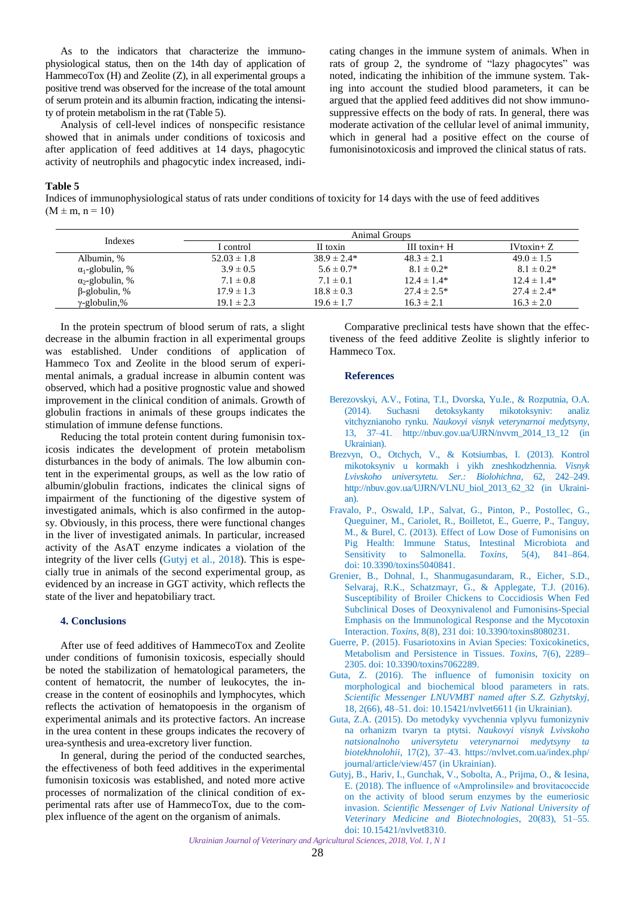<span id="page-5-0"></span>As to the indicators that characterize the immunophysiological status, then on the 14th day of application of HammecoTox (H) and Zeolite (Z), in all experimental groups a positive trend was observed for the increase of the total amount of serum protein and its albumin fraction, indicating the intensity of protein metabolism in the rat (Table 5).

Analysis of cell-level indices of nonspecific resistance showed that in animals under conditions of toxicosis and after application of feed additives at 14 days, phagocytic activity of neutrophils and phagocytic index increased, indicating changes in the immune system of animals. When in rats of group 2, the syndrome of "lazy phagocytes" was noted, indicating the inhibition of the immune system. Taking into account the studied blood parameters, it can be argued that the applied feed additives did not show immunosuppressive effects on the body of rats. In general, there was moderate activation of the cellular level of animal immunity, which in general had a positive effect on the course of fumonisinotoxicosis and improved the clinical status of rats.

### **Table 5**

Indices of immunophysiological status of rats under conditions of toxicity for 14 days with the use of feed additives  $(M \pm m, n = 10)$ 

| Indexes                 | <b>Animal Groups</b> |                 |                  |                 |  |
|-------------------------|----------------------|-----------------|------------------|-----------------|--|
|                         | I control            | II toxin        | III toxin $+$ H  | $IV$ toxin+ $Z$ |  |
| Albumin, %              | $52.03 \pm 1.8$      | $38.9 \pm 2.4*$ | $48.3 \pm 2.1$   | $49.0 \pm 1.5$  |  |
| $\alpha_1$ -globulin, % | $3.9 \pm 0.5$        | $5.6 \pm 0.7*$  | $8.1 \pm 0.2^*$  | $8.1 \pm 0.2^*$ |  |
| $\alpha_2$ -globulin, % | $7.1 \pm 0.8$        | $7.1 \pm 0.1$   | $12.4 \pm 1.4*$  | $12.4 \pm 1.4*$ |  |
| $\beta$ -globulin, %    | $17.9 \pm 1.3$       | $18.8 \pm 0.3$  | $27.4 \pm 2.5^*$ | $27.4 \pm 2.4*$ |  |
| $\gamma$ -globulin,%    | $19.1 \pm 2.3$       | $19.6 \pm 1.7$  | $16.3 \pm 2.1$   | $16.3 \pm 2.0$  |  |

In the protein spectrum of blood serum of rats, a slight decrease in the albumin fraction in all experimental groups was established. Under conditions of application of Hammeco Tox and Zeolite in the blood serum of experimental animals, a gradual increase in albumin content was observed, which had a positive prognostic value and showed improvement in the clinical condition of animals. Growth of globulin fractions in animals of these groups indicates the stimulation of immune defense functions.

Reducing the total protein content during fumonisin toxicosis indicates the development of protein metabolism disturbances in the body of animals. The low albumin content in the experimental groups, as well as the low ratio of albumin/globulin fractions, indicates the clinical signs of impairment of the functioning of the digestive system of investigated animals, which is also confirmed in the autopsy. Obviously, in this process, there were functional changes in the liver of investigated animals. In particular, increased activity of the AsAT enzyme indicates a violation of the integrity of the liver cells (Gutyj et al., 2018). This is especially true in animals of the second experimental group, as evidenced by an increase in GGT activity, which reflects the state of the liver and hepatobiliary tract.

# **4. Conclusions**

After use of feed additives of HammecoTox and Zeolite under conditions of fumonisin toxicosis, especially should be noted the stabilization of hematological parameters, the content of hematocrit, the number of leukocytes, the increase in the content of eosinophils and lymphocytes, which reflects the activation of hematopoesis in the organism of experimental animals and its protective factors. An increase in the urea content in these groups indicates the recovery of urea-synthesis and urea-excretory liver function.

In general, during the period of the conducted searches, the effectiveness of both feed additives in the experimental fumonisin toxicosis was established, and noted more active processes of normalization of the clinical condition of experimental rats after use of HammecoTox, due to the complex influence of the agent on the organism of animals.

Comparative preclinical tests have shown that the effectiveness of the feed additive Zeolite is slightly inferior to Hammeco Tox.

#### **References**

- Berezovskyi, A.V., Fotina, T.I., Dvorska, Yu.Ie., & Rozputnia, O.A. [\(2014\). Suchasni detoksykanty mikotoksyniv: analiz](http://nbuv.gov.ua/UJRN/nvvm_2014_13_12)  vitchyznianoho rynku. *Naukovyi visnyk veterynarnoi medytsyny*, 13, 37–41. http://nbuv.gov.ua/UJRN/nvvm\_2014\_13\_12 (in Ukrainian).
- [Brezvyn, O., Otchych, V., & Kotsiumbas, I. \(2013\). Kontrol](http://nbuv.gov.ua/UJRN/VLNU_biol_2013_62_32)  mikotoksyniv u kormakh i yikh zneshkodzhennia. *Visnyk Lvivskoho universytetu. Ser.: Biolohichna*, 62, 242–249. http://nbuv.gov.ua/UJRN/VLNU\_biol\_2013\_62\_32 (in Ukrainian).
- Fravalo, P., Oswald, I.P., Salvat, G., Pinton, P., Postollec, G., Queguiner, M., Cariolet, R., Boilletot, E., Guerre, P., Tanguy, M., & Burel, C. (2013). Effect of Low Dose of Fumonisins on [Pig Health: Immune Status, Intestinal Microbiota and](https://doi.org/10.3390/toxins5040841)  Sensitivity to Salmonella. *Toxins,* 5(4), 841–864. doi: 10.3390/toxins5040841.
- Grenier, B., Dohnal, I., Shanmugasundaram, R., Eicher, S.D., Selvaraj, R.K., Schatzmayr, G., & Applegate, T.J. (2016). [Susceptibility of Broiler Chickens to Coccidiosis When Fed](https://doi.org/10.3390/toxins8080231)  Subclinical Doses of Deoxynivalenol and Fumonisins-Special Emphasis on the Immunological Response and the Mycotoxin Interaction. *Toxins*, 8(8), 231 doi: 10.3390/toxins8080231.
- Guerre, P. [\(2015\). Fusariotoxins in Avian Species: Toxicokinetics,](https://doi.org/10.3390/toxins7062289)  Metabolism and Persistence in Tissues. *Toxins*, 7(6), 2289– 2305. doi: 10.3390/toxins7062289.
- Guta, Z. (2016). The influence of fumonisin toxicity on [morphological and biochemical blood parameters in rats.](https://doi.org/10.15421/nvlvet6611)  *Scientific Messenger LNUVMBT named after S.Z. Gzhytskyj,* 18, 2(66), 48–51. doi: 10.15421/nvlvet6611 (in Ukrainian).
- Guta, Z.A. (2015). Do metodyky vyvchennia vplyvu fumonizyniv na orhanizm tvaryn ta ptytsi. *Naukovyi visnyk Lvivskoho [natsionalnoho universytetu veterynarnoi medytsyny ta](https://nvlvet.com.ua/index.php/journal/article/view/457)  biotekhnolohii*, 17(2), 37–43. https://nvlvet.com.ua/index.php/ journal/article/view/457 (in Ukrainian).
- Gutyj, B., Hariv, I., Gunchak, V., Sobolta, A., Prijma, O., & Iesina, [E. \(2018\). The influence of «Amprolinsile» and brovitacoccide](https://doi.org/10.15421/nvlvet8310)  on the activity of blood serum enzymes by the eumeriosic invasion. *Scientific Messenger of Lviv National University of Veterinary Medicine and Biotechnologies*, 20(83), 51–55. doi: 10.15421/nvlvet8310.

*Ukrainian Journal of Veterinary and Agricultural Sciences, 2018, Vol. 1, N 1*